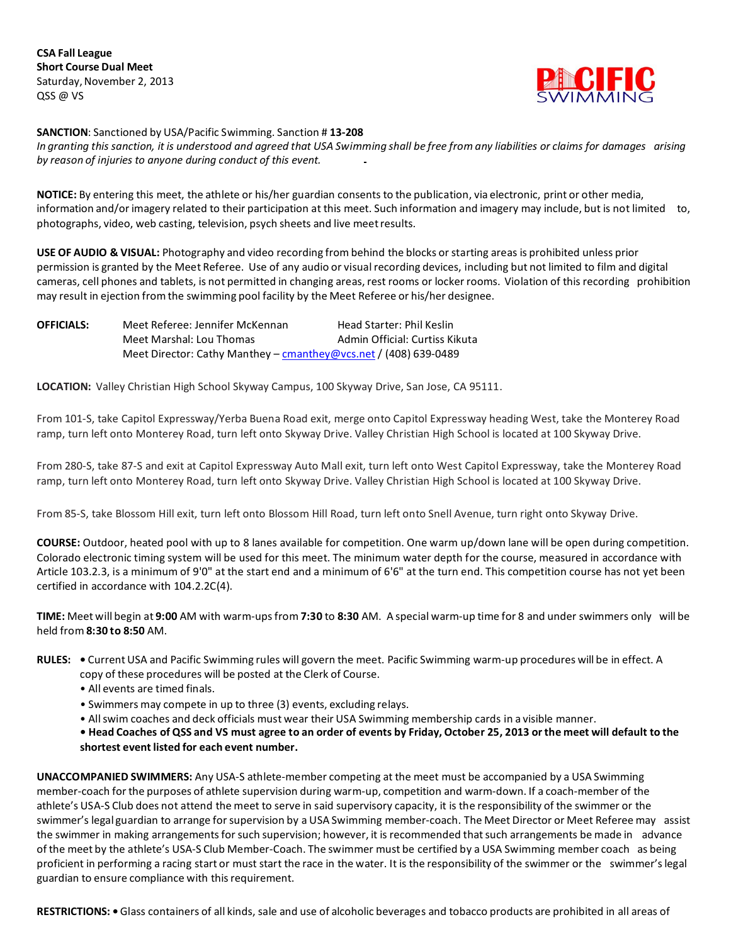**CSA Fall League Short Course Dual Meet** Saturday, November 2, 2013 QSS @ VS



**SANCTION**: Sanctioned by USA/Pacific Swimming. Sanction # **13-208**

In granting this sanction, it is understood and agreed that USA Swimming shall be free from any liabilities or claims for damages arising *by reason of injuries to anyone during conduct of this event.*

**NOTICE:** By entering this meet, the athlete or his/her guardian consents to the publication, via electronic, print or other media, information and/or imagery related to their participation at this meet. Such information and imagery may include, but is not limited to, photographs, video, web casting, television, psych sheets and live meetresults.

**USE OF AUDIO & VISUAL:** Photography and video recording from behind the blocks orstarting areas is prohibited unless prior permission is granted by the Meet Referee. Use of any audio or visual recording devices, including but not limited to film and digital cameras, cell phones and tablets, is not permitted in changing areas, rest rooms or locker rooms. Violation of this recording prohibition may result in ejection from the swimming pool facility by the Meet Referee or his/her designee.

| <b>OFFICIALS:</b> | Meet Referee: Jennifer McKennan                                   | Head Starter: Phil Keslin      |
|-------------------|-------------------------------------------------------------------|--------------------------------|
|                   | Meet Marshal: Lou Thomas                                          | Admin Official: Curtiss Kikuta |
|                   | Meet Director: Cathy Manthey – cmanthey @vcs.net / (408) 639-0489 |                                |

**LOCATION:** Valley Christian High School Skyway Campus, 100 Skyway Drive, San Jose, CA 95111.

From 101-S, take Capitol Expressway/Yerba Buena Road exit, merge onto Capitol Expressway heading West, take the Monterey Road ramp, turn left onto Monterey Road, turn left onto Skyway Drive. Valley Christian High School is located at 100 Skyway Drive.

From 280-S, take 87-S and exit at Capitol Expressway Auto Mall exit, turn left onto West Capitol Expressway, take the Monterey Road ramp, turn left onto Monterey Road, turn left onto Skyway Drive. Valley Christian High School is located at 100 Skyway Drive.

From 85-S, take Blossom Hill exit, turn left onto Blossom Hill Road, turn left onto Snell Avenue, turn right onto Skyway Drive.

**COURSE:** Outdoor, heated pool with up to 8 lanes available for competition. One warm up/down lane will be open during competition. Colorado electronic timing system will be used for this meet. The minimum water depth for the course, measured in accordance with Article 103.2.3, is a minimum of 9'0" at the start end and a minimum of 6'6" at the turn end. This competition course has not yet been certified in accordance with 104.2.2C(4).

**TIME:** Meet will begin at **9:00** AM with warm-upsfrom **7:30** to **8:30** AM. A special warm-up time for 8 and under swimmers only will be held from **8:30 to 8:50** AM.

- All events are timed finals.
- Swimmers may compete in up to three (3) events, excluding relays.
- Allswim coaches and deck officials must wear their USA Swimming membership cards in a visible manner.

. Head Coaches of QSS and VS must agree to an order of events by Friday, October 25, 2013 or the meet will default to the **shortest event listed for each event number.**

**UNACCOMPANIED SWIMMERS:** Any USA-S athlete-member competing at the meet must be accompanied by a USA Swimming member-coach for the purposes of athlete supervision during warm-up, competition and warm-down. If a coach-member of the athlete's USA-S Club does not attend the meet to serve in said supervisory capacity, it is the responsibility of the swimmer or the swimmer's legal guardian to arrange forsupervision by a USA Swimming member-coach. The Meet Director or Meet Referee may assist the swimmer in making arrangements for such supervision; however, it is recommended that such arrangements be made in advance of the meet by the athlete's USA-S Club Member-Coach. The swimmer must be certified by a USA Swimming member coach as being proficient in performing a racing start or must start the race in the water. It is the responsibility of the swimmer or the swimmer'slegal guardian to ensure compliance with this requirement.

**RESTRICTIONS: •**Glass containers of all kinds, sale and use of alcoholic beverages and tobacco products are prohibited in all areas of

**RULES: •** Current USA and Pacific Swimming rules will govern the meet. Pacific Swimming warm-up procedures will be in effect. A copy of these procedures will be posted at the Clerk of Course.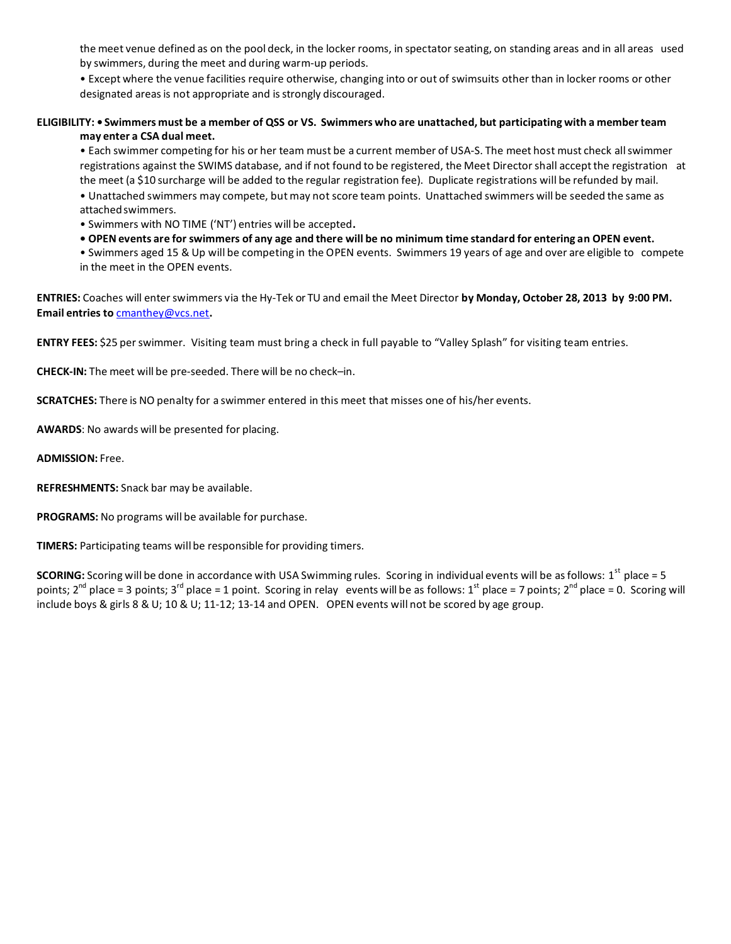the meet venue defined as on the pool deck, in the locker rooms, in spectatorseating, on standing areas and in all areas used by swimmers, during the meet and during warm-up periods.

• Except where the venue facilities require otherwise, changing into or out of swimsuits other than in locker rooms or other designated areas is not appropriate and is strongly discouraged.

## ELIGIBILITY: • Swimmers must be a member of QSS or VS. Swimmers who are unattached, but participating with a member team **may enter a CSA dual meet.**

• Each swimmer competing for his or her team must be a current member of USA-S. The meet host must check allswimmer registrations against the SWIMS database, and if not found to be registered, the Meet Directorshall acceptthe registration at the meet (a \$10 surcharge will be added to the regular registration fee). Duplicate registrations will be refunded by mail. • Unattached swimmers may compete, but may not score team points. Unattached swimmers will be seeded the same as attachedswimmers.

• Swimmers with NO TIME ('NT') entries will be accepted**.**

. OPEN events are for swimmers of any age and there will be no minimum time standard for entering an OPEN event.

• Swimmers aged 15 & Up will be competing in the OPEN events. Swimmers 19 years of age and over are eligible to compete in the meet in the OPEN events.

**ENTRIES:** Coaches will enterswimmers via the Hy-Tek or TU and email the Meet Director **by Monday, October 28, 2013 by 9:00 PM. Email entries to** [cmanthey@vcs.net](mailto:cmanthey@vcs.net)**.**

**ENTRY FEES:** \$25 perswimmer. Visiting team must bring a check in full payable to "Valley Splash" for visiting team entries.

**CHECK-IN:** The meet will be pre-seeded. There will be no check–in.

**SCRATCHES:** There is NO penalty for a swimmer entered in this meet that misses one of his/her events.

**AWARDS**: No awards will be presented for placing.

**ADMISSION:** Free.

**REFRESHMENTS:** Snack bar may be available.

**PROGRAMS:** No programs will be available for purchase.

**TIMERS:** Participating teams will be responsible for providing timers.

**SCORING:** Scoring will be done in accordance with USA Swimming rules. Scoring in individual events will be as follows: 1<sup>st</sup> place = 5 points; 2<sup>nd</sup> place = 3 points; 3<sup>rd</sup> place = 1 point. Scoring in relay events will be as follows: 1<sup>st</sup> place = 7 points; 2<sup>nd</sup> place = 0. Scoring will include boys & girls 8 & U; 10 & U; 11-12; 13-14 and OPEN. OPEN events will not be scored by age group.